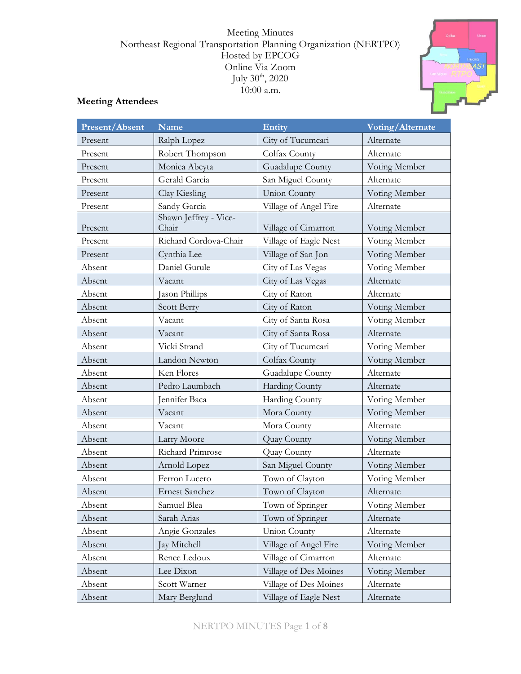#### Meeting Minutes Northeast Regional Transportation Planning Organization (NERTPO) Hosted by EPCOG Online Via Zoom July  $30<sup>th</sup>$ , 2020 10:00 a.m.



# **Meeting Attendees**

| Present/Absent | <b>Name</b>                    | Entity                | Voting/Alternate |
|----------------|--------------------------------|-----------------------|------------------|
| Present        | Ralph Lopez                    | City of Tucumcari     | Alternate        |
| Present        | Robert Thompson                | Colfax County         | Alternate        |
| Present        | Monica Abeyta                  | Guadalupe County      | Voting Member    |
| Present        | Gerald Garcia                  | San Miguel County     | Alternate        |
| Present        | Clay Kiesling                  | <b>Union County</b>   | Voting Member    |
| Present        | Sandy Garcia                   | Village of Angel Fire | Alternate        |
| Present        | Shawn Jeffrey - Vice-<br>Chair | Village of Cimarron   | Voting Member    |
| Present        | Richard Cordova-Chair          | Village of Eagle Nest | Voting Member    |
| Present        | Cynthia Lee                    | Village of San Jon    | Voting Member    |
| Absent         | Daniel Gurule                  | City of Las Vegas     | Voting Member    |
| Absent         | Vacant                         | City of Las Vegas     | Alternate        |
| Absent         | Jason Phillips                 | City of Raton         | Alternate        |
| Absent         | Scott Berry                    | City of Raton         | Voting Member    |
| Absent         | Vacant                         | City of Santa Rosa    | Voting Member    |
| Absent         | Vacant                         | City of Santa Rosa    | Alternate        |
| Absent         | Vicki Strand                   | City of Tucumcari     | Voting Member    |
| Absent         | Landon Newton                  | Colfax County         | Voting Member    |
| Absent         | Ken Flores                     | Guadalupe County      | Alternate        |
| Absent         | Pedro Laumbach                 | <b>Harding County</b> | Alternate        |
| Absent         | Jennifer Baca                  | Harding County        | Voting Member    |
| Absent         | Vacant                         | Mora County           | Voting Member    |
| Absent         | Vacant                         | Mora County           | Alternate        |
| Absent         | Larry Moore                    | Quay County           | Voting Member    |
| Absent         | Richard Primrose               | Quay County           | Alternate        |
| Absent         | Arnold Lopez                   | San Miguel County     | Voting Member    |
| Absent         | Ferron Lucero                  | Town of Clayton       | Voting Member    |
| Absent         | <b>Ernest Sanchez</b>          | Town of Clayton       | Alternate        |
| Absent         | Samuel Blea                    | Town of Springer      | Voting Member    |
| Absent         | Sarah Arias                    | Town of Springer      | Alternate        |
| Absent         | Angie Gonzales                 | <b>Union County</b>   | Alternate        |
| Absent         | Jay Mitchell                   | Village of Angel Fire | Voting Member    |
| Absent         | Renee Ledoux                   | Village of Cimarron   | Alternate        |
| Absent         | Lee Dixon                      | Village of Des Moines | Voting Member    |
| Absent         | Scott Warner                   | Village of Des Moines | Alternate        |
| Absent         | Mary Berglund                  | Village of Eagle Nest | Alternate        |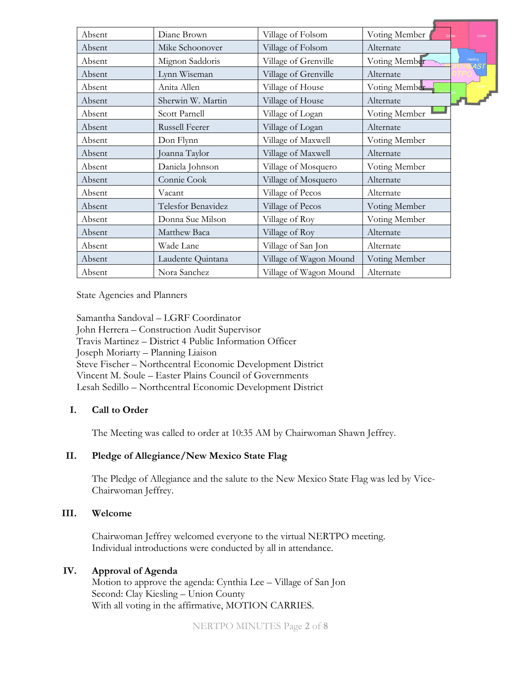| Absent | Diane Brown           | Village of Folsom      | Voting Member | Union           |
|--------|-----------------------|------------------------|---------------|-----------------|
| Absent | Mike Schoonover       | Village of Folsom      | Alternate     |                 |
| Absent | Mignon Saddoris       | Village of Grenville   | Voting Member | Harding<br>۶7 M |
| Absent | Lynn Wiseman          | Village of Grenville   | Alternate     |                 |
| Absent | Anita Allen           | Village of House       | Voting Member |                 |
| Absent | Sherwin W. Martin     | Village of House       | Alternate     |                 |
| Absent | Scott Parnell         | Village of Logan       | Voting Member |                 |
| Absent | <b>Russell Feerer</b> | Village of Logan       | Alternate     |                 |
| Absent | Don Flynn             | Village of Maxwell     | Voting Member |                 |
| Absent | Joanna Taylor         | Village of Maxwell     | Alternate     |                 |
| Absent | Daniela Johnson       | Village of Mosquero    | Voting Member |                 |
| Absent | Connie Cook           | Village of Mosquero    | Alternate     |                 |
| Absent | Vacant                | Village of Pecos       | Alternate     |                 |
| Absent | Telesfor Benavidez    | Village of Pecos       | Voting Member |                 |
| Absent | Donna Sue Milson      | Village of Roy         | Voting Member |                 |
| Absent | Matthew Baca          | Village of Roy         | Alternate     |                 |
| Absent | Wade Lane             | Village of San Jon     | Alternate     |                 |
| Absent | Laudente Quintana     | Village of Wagon Mound | Voting Member |                 |
| Absent | Nora Sanchez          | Village of Wagon Mound | Alternate     |                 |

State Agencies and Planners

Samantha Sandoval – LGRF Coordinator John Herrera – Construction Audit Supervisor Travis Martinez – District 4 Public Information Officer Joseph Moriarty – Planning Liaison Steve Fischer – Northcentral Economic Development District Vincent M. Soule – Easter Plains Council of Governments Lesah Sedillo – Northcentral Economic Development District

## **I. Call to Order**

The Meeting was called to order at 10:35 AM by Chairwoman Shawn Jeffrey.

## **II. Pledge of Allegiance/New Mexico State Flag**

The Pledge of Allegiance and the salute to the New Mexico State Flag was led by Vice-Chairwoman Jeffrey.

## **III. Welcome**

Chairwoman Jeffrey welcomed everyone to the virtual NERTPO meeting. Individual introductions were conducted by all in attendance.

## **IV. Approval of Agenda**

Motion to approve the agenda: Cynthia Lee – Village of San Jon Second: Clay Kiesling – Union County With all voting in the affirmative, MOTION CARRIES.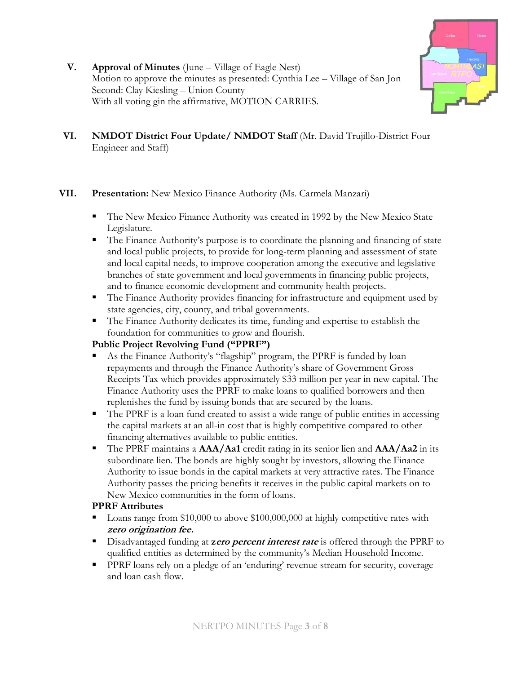

- **V. Approval of Minutes** (June Village of Eagle Nest) Motion to approve the minutes as presented: Cynthia Lee – Village of San Jon Second: Clay Kiesling – Union County With all voting gin the affirmative, MOTION CARRIES.
- **VI. NMDOT District Four Update/ NMDOT Staff** (Mr. David Trujillo-District Four Engineer and Staff)

## **VII. Presentation:** New Mexico Finance Authority (Ms. Carmela Manzari)

- The New Mexico Finance Authority was created in 1992 by the New Mexico State Legislature.
- The Finance Authority's purpose is to coordinate the planning and financing of state and local public projects, to provide for long-term planning and assessment of state and local capital needs, to improve cooperation among the executive and legislative branches of state government and local governments in financing public projects, and to finance economic development and community health projects.
- The Finance Authority provides financing for infrastructure and equipment used by state agencies, city, county, and tribal governments.
- The Finance Authority dedicates its time, funding and expertise to establish the foundation for communities to grow and flourish.

# **Public Project Revolving Fund ("PPRF")**

- As the Finance Authority's "flagship" program, the PPRF is funded by loan repayments and through the Finance Authority's share of Government Gross Receipts Tax which provides approximately \$33 million per year in new capital. The Finance Authority uses the PPRF to make loans to qualified borrowers and then replenishes the fund by issuing bonds that are secured by the loans.
- The PPRF is a loan fund created to assist a wide range of public entities in accessing the capital markets at an all-in cost that is highly competitive compared to other financing alternatives available to public entities.
- The PPRF maintains a **AAA/Aa1** credit rating in its senior lien and **AAA/Aa2** in its subordinate lien. The bonds are highly sought by investors, allowing the Finance Authority to issue bonds in the capital markets at very attractive rates. The Finance Authority passes the pricing benefits it receives in the public capital markets on to New Mexico communities in the form of loans.

# **PPRF Attributes**

- Loans range from \$10,000 to above \$100,000,000 at highly competitive rates with **zero origination fee.**
- Disadvantaged funding at **zero percent interest rate** is offered through the PPRF to qualified entities as determined by the community's Median Household Income.
- **PPRF** loans rely on a pledge of an 'enduring' revenue stream for security, coverage and loan cash flow.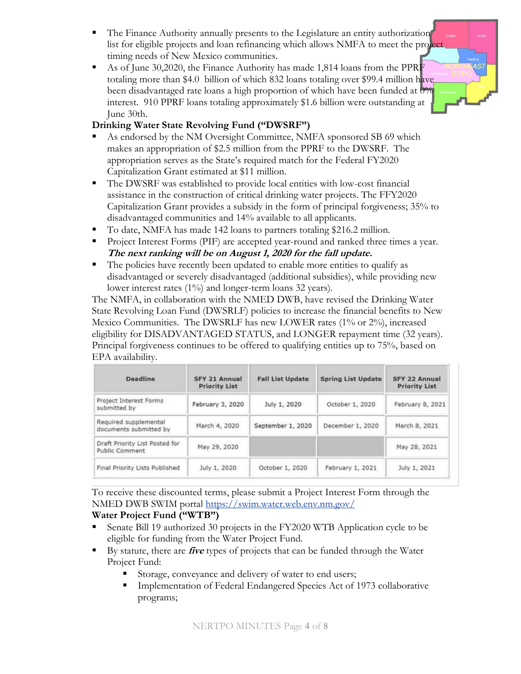The Finance Authority annually presents to the Legislature an entity authorization list for eligible projects and loan refinancing which allows NMFA to meet the project timing needs of New Mexico communities.

4*S* 

■ As of June 30,2020, the Finance Authority has made 1,814 loans from the PPRF totaling more than \$4.0 billion of which 832 loans totaling over \$99.4 million have been disadvantaged rate loans a high proportion of which have been funded at 0% interest. 910 PPRF loans totaling approximately \$1.6 billion were outstanding at June 30th.

# **Drinking Water State Revolving Fund ("DWSRF")**

- As endorsed by the NM Oversight Committee, NMFA sponsored SB 69 which makes an appropriation of \$2.5 million from the PPRF to the DWSRF. The appropriation serves as the State's required match for the Federal FY2020 Capitalization Grant estimated at \$11 million.
- The DWSRF was established to provide local entities with low-cost financial assistance in the construction of critical drinking water projects. The FFY2020 Capitalization Grant provides a subsidy in the form of principal forgiveness; 35% to disadvantaged communities and 14% available to all applicants.
- To date, NMFA has made 142 loans to partners totaling \$216.2 million.
- **Project Interest Forms (PIF) are accepted year-round and ranked three times a year. The next ranking will be on August 1, 2020 for the fall update.**
- The policies have recently been updated to enable more entities to qualify as disadvantaged or severely disadvantaged (additional subsidies), while providing new lower interest rates (1%) and longer-term loans 32 years).

The NMFA, in collaboration with the NMED DWB, have revised the Drinking Water State Revolving Loan Fund (DWSRLF) policies to increase the financial benefits to New Mexico Communities. The DWSRLF has new LOWER rates (1% or 2%), increased eligibility for DISADVANTAGED STATUS, and LONGER repayment time (32 years). Principal forgiveness continues to be offered to qualifying entities up to 75%, based on EPA availability.

| Deadline                                         | SFY 21 Annual<br><b>Priority List</b> | <b>Fall List Update</b> | <b>Spring List Update</b> | SFY 22 Annual<br><b>Priority List</b> |
|--------------------------------------------------|---------------------------------------|-------------------------|---------------------------|---------------------------------------|
| Project Interest Forms<br>submitted by           | February 3, 2020                      | July 1, 2020            | October 1, 2020           | February 8, 2021                      |
| Required supplemental<br>documents submitted by  | March 4, 2020                         | September 1, 2020       | December 1, 2020          | March 8, 2021                         |
| Draft Priority List Posted for<br>Public Comment | May 29, 2020                          |                         |                           | May 28, 2021                          |
| Final Priority Lists Published                   | July 1, 2020                          | October 1, 2020         | February 1, 2021          | July 1, 2021                          |

To receive these discounted terms, please submit a Project Interest Form through the NMED DWB SWIM portal<https://swim.water.web.env.nm.gov/>

# **Water Project Fund ("WTB")**

- Senate Bill 19 authorized 30 projects in the FY2020 WTB Application cycle to be eligible for funding from the Water Project Fund.
- By statute, there are **five** types of projects that can be funded through the Water Project Fund:
	- Storage, conveyance and delivery of water to end users;
	- Implementation of Federal Endangered Species Act of 1973 collaborative programs;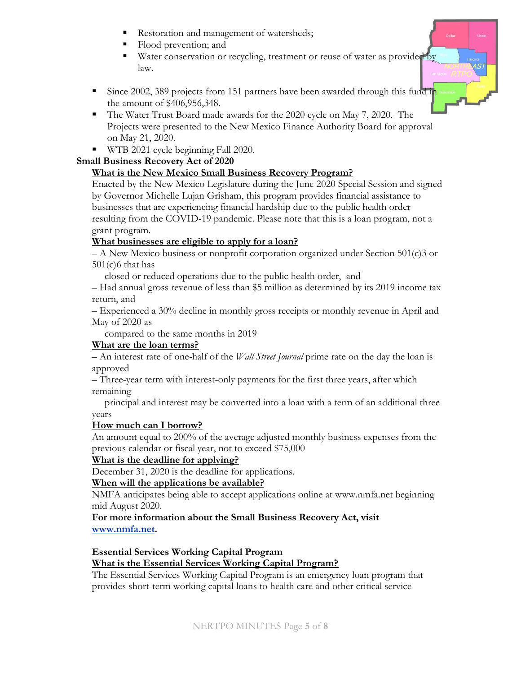- Restoration and management of watersheds;
- Flood prevention; and
- Water conservation or recycling, treatment or reuse of water as provided by law.
- Since 2002, 389 projects from 151 partners have been awarded through this fund in the amount of \$406,956,348.
- The Water Trust Board made awards for the 2020 cycle on May 7, 2020. The Projects were presented to the New Mexico Finance Authority Board for approval on May 21, 2020.
- **•** WTB 2021 cycle beginning Fall 2020.

#### **Small Business Recovery Act of 2020**

## **What is the New Mexico Small Business Recovery Program?**

Enacted by the New Mexico Legislature during the June 2020 Special Session and signed by Governor Michelle Lujan Grisham, this program provides financial assistance to businesses that are experiencing financial hardship due to the public health order resulting from the COVID-19 pandemic. Please note that this is a loan program, not a grant program.

## **What businesses are eligible to apply for a loan?**

– A New Mexico business or nonprofit corporation organized under Section 501(c)3 or  $501(c)6$  that has

closed or reduced operations due to the public health order, and

– Had annual gross revenue of less than \$5 million as determined by its 2019 income tax return, and

– Experienced a 30% decline in monthly gross receipts or monthly revenue in April and May of 2020 as

compared to the same months in 2019

## **What are the loan terms?**

– An interest rate of one-half of the *Wall Street Journal* prime rate on the day the loan is approved

– Three-year term with interest-only payments for the first three years, after which remaining

 principal and interest may be converted into a loan with a term of an additional three years

## **How much can I borrow?**

An amount equal to 200% of the average adjusted monthly business expenses from the previous calendar or fiscal year, not to exceed \$75,000

## **What is the deadline for applying?**

December 31, 2020 is the deadline for applications.

## **When will the applications be available?**

NMFA anticipates being able to accept applications online at www.nmfa.net beginning mid August 2020.

#### **For more information about the Small Business Recovery Act, visit [www.nmfa.net.](http://www.nmfa.net/)**

#### **Essential Services Working Capital Program What is the Essential Services Working Capital Program?**

The Essential Services Working Capital Program is an emergency loan program that provides short-term working capital loans to health care and other critical service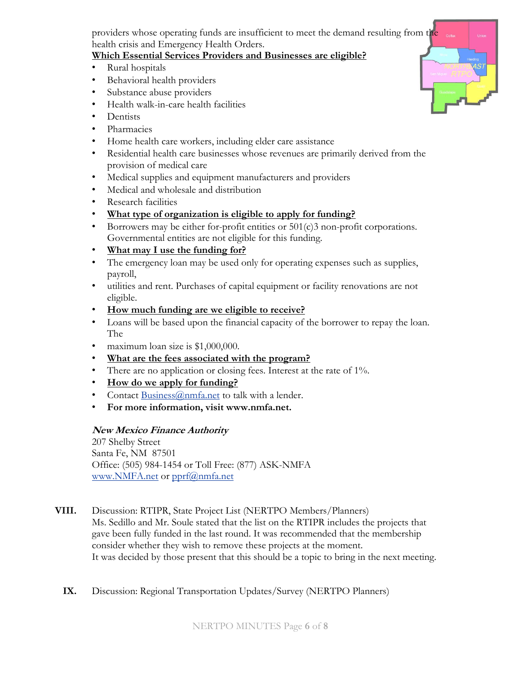providers whose operating funds are insufficient to meet the demand resulting from the health crisis and Emergency Health Orders.

## **Which Essential Services Providers and Businesses are eligible?**

- Rural hospitals
- Behavioral health providers
- Substance abuse providers
- Health walk-in-care health facilities
- Dentists
- Pharmacies
- Home health care workers, including elder care assistance
- Residential health care businesses whose revenues are primarily derived from the provision of medical care
- Medical supplies and equipment manufacturers and providers
- Medical and wholesale and distribution
- Research facilities
- **What type of organization is eligible to apply for funding?**
- Borrowers may be either for-profit entities or  $501(c)3$  non-profit corporations. Governmental entities are not eligible for this funding.
- **What may I use the funding for?**
- The emergency loan may be used only for operating expenses such as supplies, payroll,
- utilities and rent. Purchases of capital equipment or facility renovations are not eligible.
- **How much funding are we eligible to receive?**
- Loans will be based upon the financial capacity of the borrower to repay the loan. The
- maximum loan size is \$1,000,000.
- **What are the fees associated with the program?**
- There are no application or closing fees. Interest at the rate of 1%.
- **How do we apply for funding?**
- Contact [Business@nmfa.net](mailto:Business@nmfa.net) to talk with a lender.
- **For more information, visit www.nmfa.net.**

# **New Mexico Finance Authority**

207 Shelby Street Santa Fe, NM 87501 Office: (505) 984-1454 or Toll Free: (877) ASK-NMFA [www.NMFA.net](http://www.nmfa.net/) or [pprf@nmfa.net](mailto:pprf@nmfa.net)

**VIII.** Discussion: RTIPR, State Project List (NERTPO Members/Planners) Ms. Sedillo and Mr. Soule stated that the list on the RTIPR includes the projects that gave been fully funded in the last round. It was recommended that the membership consider whether they wish to remove these projects at the moment. It was decided by those present that this should be a topic to bring in the next meeting.

**IX.** Discussion: Regional Transportation Updates/Survey (NERTPO Planners)

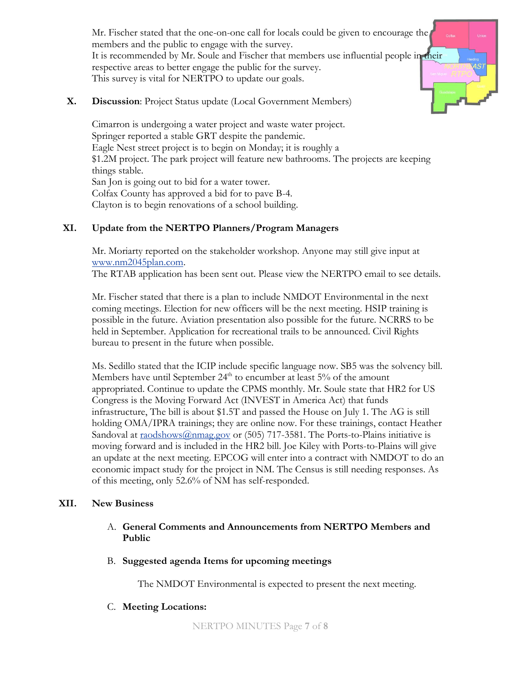Mr. Fischer stated that the one-on-one call for locals could be given to encourage the members and the public to engage with the survey. It is recommended by Mr. Soule and Fischer that members use influential people in their respective areas to better engage the public for the survey. This survey is vital for NERTPO to update our goals.

#### **X. Discussion**: Project Status update (Local Government Members)

Cimarron is undergoing a water project and waste water project. Springer reported a stable GRT despite the pandemic. Eagle Nest street project is to begin on Monday; it is roughly a \$1.2M project. The park project will feature new bathrooms. The projects are keeping things stable. San Jon is going out to bid for a water tower. Colfax County has approved a bid for to pave B-4. Clayton is to begin renovations of a school building.

#### **XI. Update from the NERTPO Planners/Program Managers**

Mr. Moriarty reported on the stakeholder workshop. Anyone may still give input at [www.nm2045plan.com.](http://www.nm2045plan.com/)

The RTAB application has been sent out. Please view the NERTPO email to see details.

Mr. Fischer stated that there is a plan to include NMDOT Environmental in the next coming meetings. Election for new officers will be the next meeting. HSIP training is possible in the future. Aviation presentation also possible for the future. NCRRS to be held in September. Application for recreational trails to be announced. Civil Rights bureau to present in the future when possible.

Ms. Sedillo stated that the ICIP include specific language now. SB5 was the solvency bill. Members have until September 24<sup>th</sup> to encumber at least 5% of the amount appropriated. Continue to update the CPMS monthly. Mr. Soule state that HR2 for US Congress is the Moving Forward Act (INVEST in America Act) that funds infrastructure, The bill is about \$1.5T and passed the House on July 1. The AG is still holding OMA/IPRA trainings; they are online now. For these trainings, contact Heather Sandoval at [raodshows@nmag.gov](mailto:raodshows@nmag.gov) or (505) 717-3581. The Ports-to-Plains initiative is moving forward and is included in the HR2 bill. Joe Kiley with Ports-to-Plains will give an update at the next meeting. EPCOG will enter into a contract with NMDOT to do an economic impact study for the project in NM. The Census is still needing responses. As of this meeting, only 52.6% of NM has self-responded.

#### **XII. New Business**

- A. **General Comments and Announcements from NERTPO Members and Public**
- B. **Suggested agenda Items for upcoming meetings**

The NMDOT Environmental is expected to present the next meeting.

C. **Meeting Locations:**